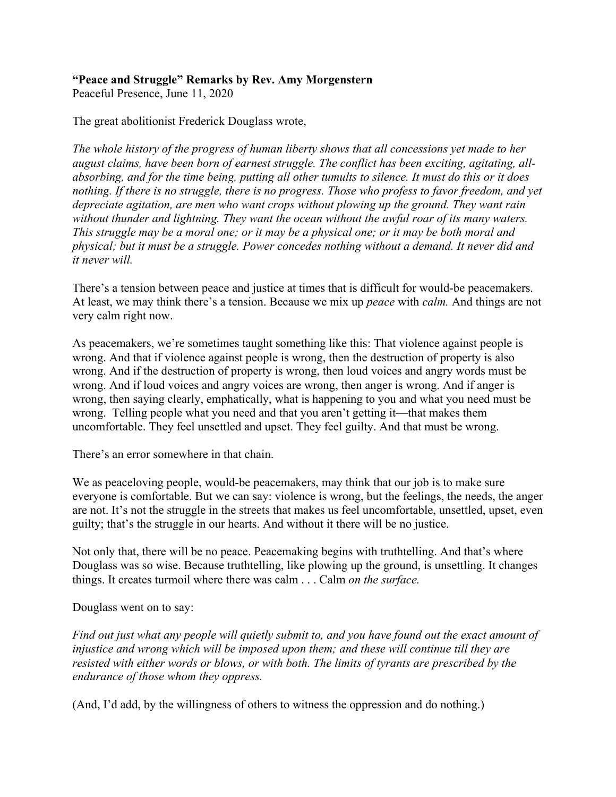## **"Peace and Struggle" Remarks by Rev. Amy Morgenstern**

Peaceful Presence, June 11, 2020

The great abolitionist Frederick Douglass wrote,

*The whole history of the progress of human liberty shows that all concessions yet made to her august claims, have been born of earnest struggle. The conflict has been exciting, agitating, allabsorbing, and for the time being, putting all other tumults to silence. It must do this or it does nothing. If there is no struggle, there is no progress. Those who profess to favor freedom, and yet depreciate agitation, are men who want crops without plowing up the ground. They want rain without thunder and lightning. They want the ocean without the awful roar of its many waters. This struggle may be a moral one; or it may be a physical one; or it may be both moral and physical; but it must be a struggle. Power concedes nothing without a demand. It never did and it never will.* 

There's a tension between peace and justice at times that is difficult for would-be peacemakers. At least, we may think there's a tension. Because we mix up *peace* with *calm.* And things are not very calm right now.

As peacemakers, we're sometimes taught something like this: That violence against people is wrong. And that if violence against people is wrong, then the destruction of property is also wrong. And if the destruction of property is wrong, then loud voices and angry words must be wrong. And if loud voices and angry voices are wrong, then anger is wrong. And if anger is wrong, then saying clearly, emphatically, what is happening to you and what you need must be wrong. Telling people what you need and that you aren't getting it—that makes them uncomfortable. They feel unsettled and upset. They feel guilty. And that must be wrong.

There's an error somewhere in that chain.

We as peaceloving people, would-be peacemakers, may think that our job is to make sure everyone is comfortable. But we can say: violence is wrong, but the feelings, the needs, the anger are not. It's not the struggle in the streets that makes us feel uncomfortable, unsettled, upset, even guilty; that's the struggle in our hearts. And without it there will be no justice.

Not only that, there will be no peace. Peacemaking begins with truthtelling. And that's where Douglass was so wise. Because truthtelling, like plowing up the ground, is unsettling. It changes things. It creates turmoil where there was calm . . . Calm *on the surface.*

Douglass went on to say:

*Find out just what any people will quietly submit to, and you have found out the exact amount of injustice and wrong which will be imposed upon them; and these will continue till they are resisted with either words or blows, or with both. The limits of tyrants are prescribed by the endurance of those whom they oppress.*

(And, I'd add, by the willingness of others to witness the oppression and do nothing.)